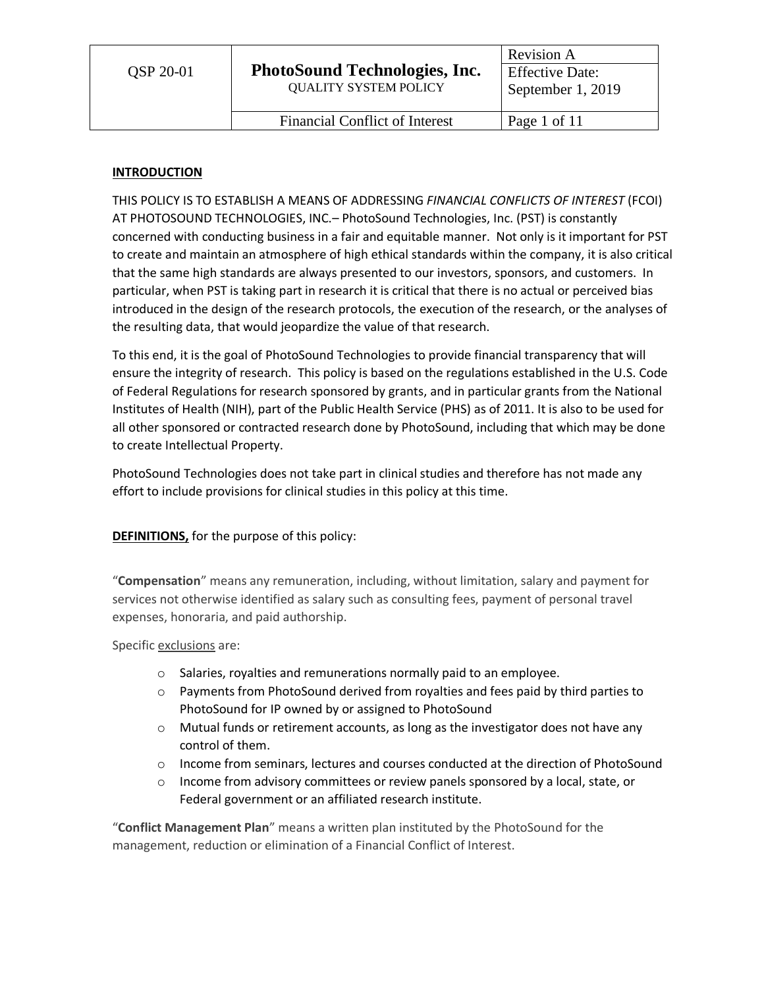# **INTRODUCTION**

THIS POLICY IS TO ESTABLISH A MEANS OF ADDRESSING *FINANCIAL CONFLICTS OF INTEREST* (FCOI) AT PHOTOSOUND TECHNOLOGIES, INC.– PhotoSound Technologies, Inc. (PST) is constantly concerned with conducting business in a fair and equitable manner. Not only is it important for PST to create and maintain an atmosphere of high ethical standards within the company, it is also critical that the same high standards are always presented to our investors, sponsors, and customers. In particular, when PST is taking part in research it is critical that there is no actual or perceived bias introduced in the design of the research protocols, the execution of the research, or the analyses of the resulting data, that would jeopardize the value of that research.

To this end, it is the goal of PhotoSound Technologies to provide financial transparency that will ensure the integrity of research. This policy is based on the regulations established in the U.S. Code of Federal Regulations for research sponsored by grants, and in particular grants from the National Institutes of Health (NIH), part of the Public Health Service (PHS) as of 2011. It is also to be used for all other sponsored or contracted research done by PhotoSound, including that which may be done to create Intellectual Property.

PhotoSound Technologies does not take part in clinical studies and therefore has not made any effort to include provisions for clinical studies in this policy at this time.

# **DEFINITIONS,** for the purpose of this policy:

"**Compensation**" means any remuneration, including, without limitation, salary and payment for services not otherwise identified as salary such as consulting fees, payment of personal travel expenses, honoraria, and paid authorship.

Specific exclusions are:

- o Salaries, royalties and remunerations normally paid to an employee.
- $\circ$  Payments from PhotoSound derived from royalties and fees paid by third parties to PhotoSound for IP owned by or assigned to PhotoSound
- $\circ$  Mutual funds or retirement accounts, as long as the investigator does not have any control of them.
- $\circ$  Income from seminars, lectures and courses conducted at the direction of PhotoSound
- $\circ$  Income from advisory committees or review panels sponsored by a local, state, or Federal government or an affiliated research institute.

"**Conflict Management Plan**" means a written plan instituted by the PhotoSound for the management, reduction or elimination of a Financial Conflict of Interest.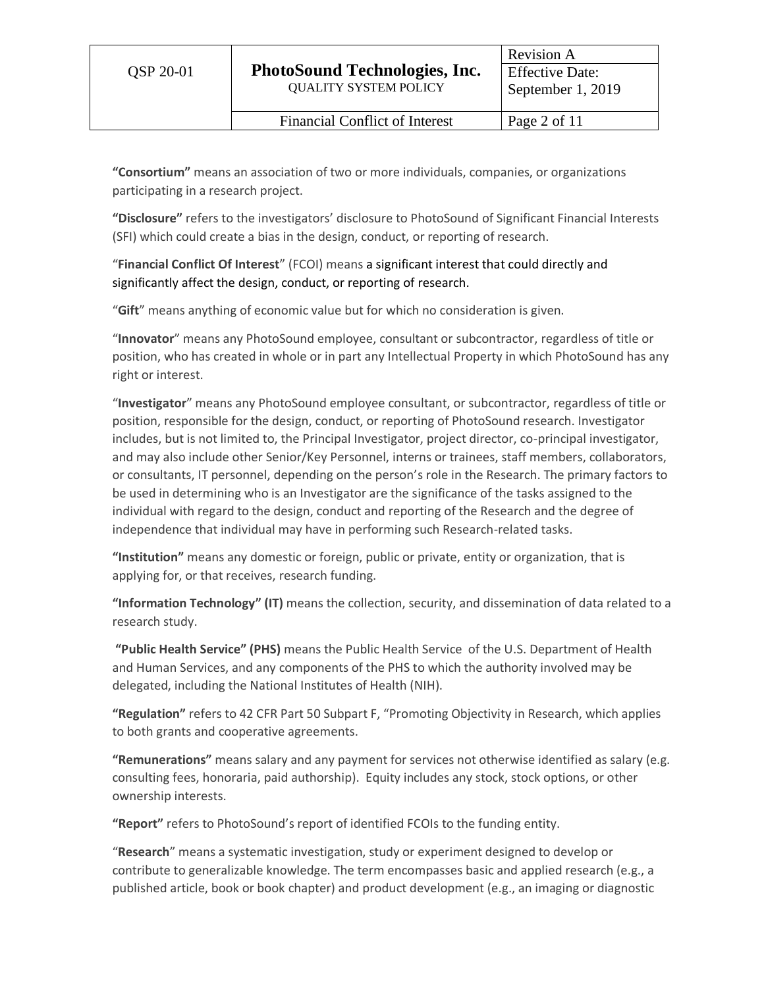**"Consortium"** means an association of two or more individuals, companies, or organizations participating in a research project.

**"Disclosure"** refers to the investigators' disclosure to PhotoSound of Significant Financial Interests (SFI) which could create a bias in the design, conduct, or reporting of research.

"**Financial Conflict Of Interest**" (FCOI) means a significant interest that could directly and significantly affect the design, conduct, or reporting of research.

"**Gift**" means anything of economic value but for which no consideration is given.

"**Innovator**" means any PhotoSound employee, consultant or subcontractor, regardless of title or position, who has created in whole or in part any Intellectual Property in which PhotoSound has any right or interest.

"**Investigator**" means any PhotoSound employee consultant, or subcontractor, regardless of title or position, responsible for the design, conduct, or reporting of PhotoSound research. Investigator includes, but is not limited to, the Principal Investigator, project director, co-principal investigator, and may also include other Senior/Key Personnel, interns or trainees, staff members, collaborators, or consultants, IT personnel, depending on the person's role in the Research. The primary factors to be used in determining who is an Investigator are the significance of the tasks assigned to the individual with regard to the design, conduct and reporting of the Research and the degree of independence that individual may have in performing such Research-related tasks.

**"Institution"** means any domestic or foreign, public or private, entity or organization, that is applying for, or that receives, research funding.

**"Information Technology" (IT)** means the collection, security, and dissemination of data related to a research study.

**"Public Health Service" (PHS)** means the Public Health Service of the U.S. Department of Health and Human Services, and any components of the PHS to which the authority involved may be delegated, including the National Institutes of Health (NIH).

**"Regulation"** refers to 42 CFR Part 50 Subpart F, "Promoting Objectivity in Research, which applies to both grants and cooperative agreements.

**"Remunerations"** means salary and any payment for services not otherwise identified as salary (e.g. consulting fees, honoraria, paid authorship). Equity includes any stock, stock options, or other ownership interests.

**"Report"** refers to PhotoSound's report of identified FCOIs to the funding entity.

"**Research**" means a systematic investigation, study or experiment designed to develop or contribute to generalizable knowledge. The term encompasses basic and applied research (e.g., a published article, book or book chapter) and product development (e.g., an imaging or diagnostic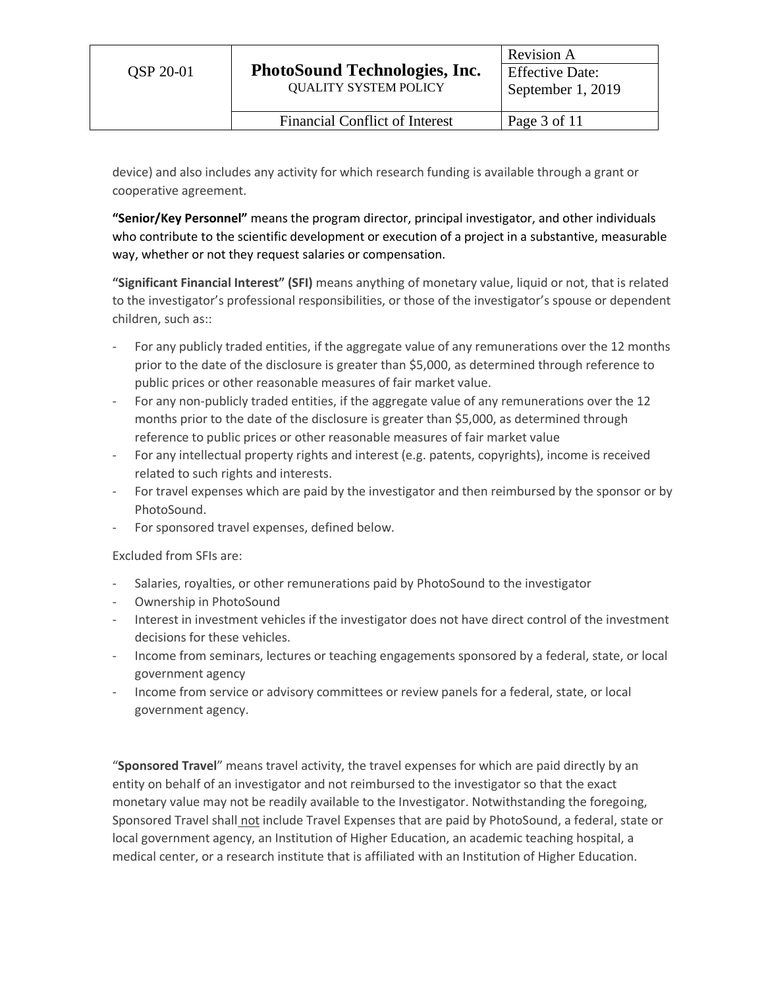device) and also includes any activity for which research funding is available through a grant or cooperative agreement.

**"Senior/Key Personnel"** means the program director, principal investigator, and other individuals who contribute to the scientific development or execution of a project in a substantive, measurable way, whether or not they request salaries or compensation.

**"Significant Financial Interest" (SFI)** means anything of monetary value, liquid or not, that is related to the investigator's professional responsibilities, or those of the investigator's spouse or dependent children, such as::

- For any publicly traded entities, if the aggregate value of any remunerations over the 12 months prior to the date of the disclosure is greater than \$5,000, as determined through reference to public prices or other reasonable measures of fair market value.
- For any non-publicly traded entities, if the aggregate value of any remunerations over the 12 months prior to the date of the disclosure is greater than \$5,000, as determined through reference to public prices or other reasonable measures of fair market value
- For any intellectual property rights and interest (e.g. patents, copyrights), income is received related to such rights and interests.
- For travel expenses which are paid by the investigator and then reimbursed by the sponsor or by PhotoSound.
- For sponsored travel expenses, defined below.

Excluded from SFIs are:

- Salaries, royalties, or other remunerations paid by PhotoSound to the investigator
- Ownership in PhotoSound
- Interest in investment vehicles if the investigator does not have direct control of the investment decisions for these vehicles.
- Income from seminars, lectures or teaching engagements sponsored by a federal, state, or local government agency
- Income from service or advisory committees or review panels for a federal, state, or local government agency.

"**Sponsored Travel**" means travel activity, the travel expenses for which are paid directly by an entity on behalf of an investigator and not reimbursed to the investigator so that the exact monetary value may not be readily available to the Investigator. Notwithstanding the foregoing, Sponsored Travel shall not include Travel Expenses that are paid by PhotoSound, a federal, state or local government agency, an Institution of Higher Education, an academic teaching hospital, a medical center, or a research institute that is affiliated with an Institution of Higher Education.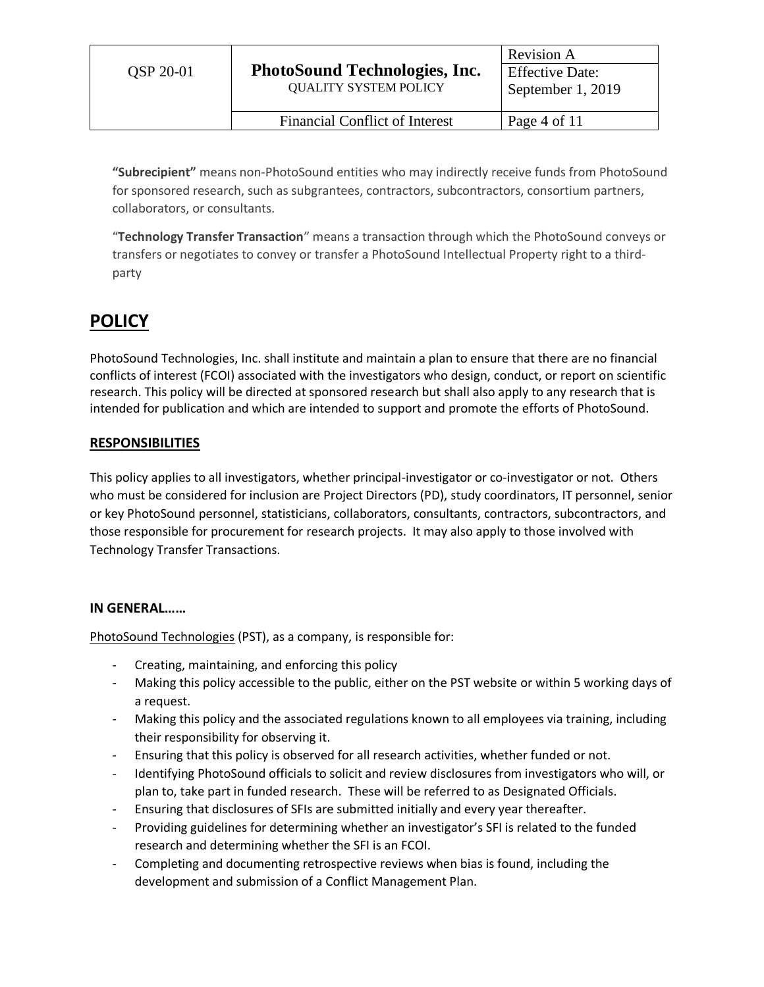**"Subrecipient"** means non-PhotoSound entities who may indirectly receive funds from PhotoSound for sponsored research, such as subgrantees, contractors, subcontractors, consortium partners, collaborators, or consultants.

"**Technology Transfer Transaction**" means a transaction through which the PhotoSound conveys or transfers or negotiates to convey or transfer a PhotoSound Intellectual Property right to a thirdparty

# **POLICY**

PhotoSound Technologies, Inc. shall institute and maintain a plan to ensure that there are no financial conflicts of interest (FCOI) associated with the investigators who design, conduct, or report on scientific research. This policy will be directed at sponsored research but shall also apply to any research that is intended for publication and which are intended to support and promote the efforts of PhotoSound.

# **RESPONSIBILITIES**

This policy applies to all investigators, whether principal-investigator or co-investigator or not. Others who must be considered for inclusion are Project Directors (PD), study coordinators, IT personnel, senior or key PhotoSound personnel, statisticians, collaborators, consultants, contractors, subcontractors, and those responsible for procurement for research projects. It may also apply to those involved with Technology Transfer Transactions.

# **IN GENERAL……**

PhotoSound Technologies (PST), as a company, is responsible for:

- Creating, maintaining, and enforcing this policy
- Making this policy accessible to the public, either on the PST website or within 5 working days of a request.
- Making this policy and the associated regulations known to all employees via training, including their responsibility for observing it.
- Ensuring that this policy is observed for all research activities, whether funded or not.
- Identifying PhotoSound officials to solicit and review disclosures from investigators who will, or plan to, take part in funded research. These will be referred to as Designated Officials.
- Ensuring that disclosures of SFIs are submitted initially and every year thereafter.
- Providing guidelines for determining whether an investigator's SFI is related to the funded research and determining whether the SFI is an FCOI.
- Completing and documenting retrospective reviews when bias is found, including the development and submission of a Conflict Management Plan.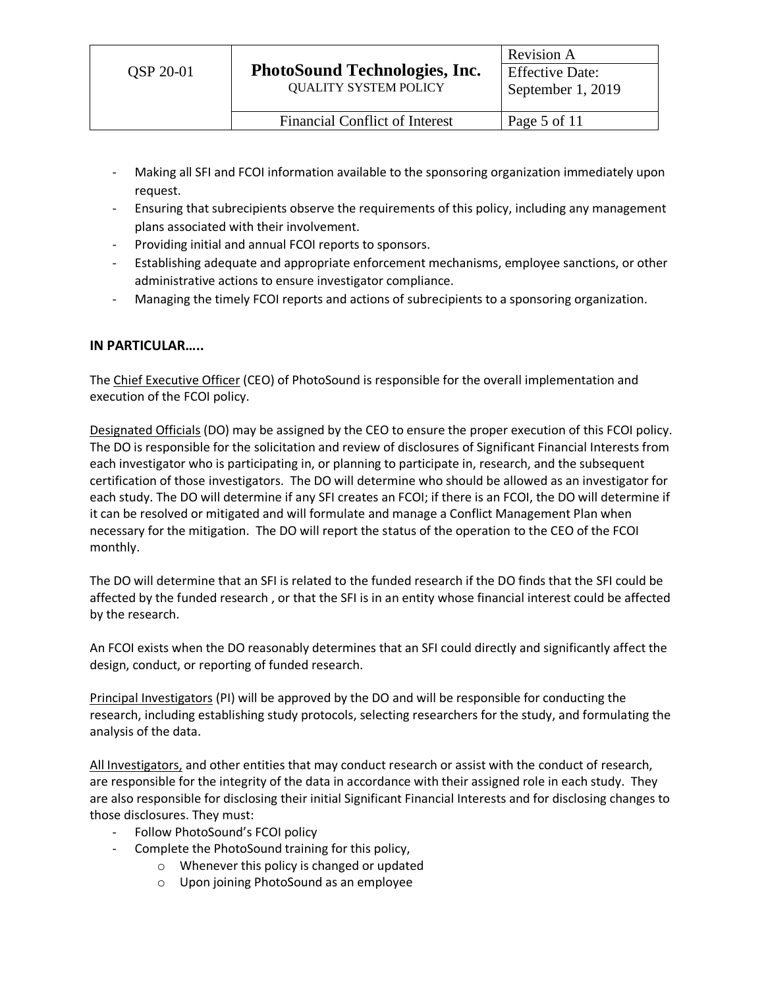- Making all SFI and FCOI information available to the sponsoring organization immediately upon request.
- Ensuring that subrecipients observe the requirements of this policy, including any management plans associated with their involvement.
- Providing initial and annual FCOI reports to sponsors.
- Establishing adequate and appropriate enforcement mechanisms, employee sanctions, or other administrative actions to ensure investigator compliance.
- Managing the timely FCOI reports and actions of subrecipients to a sponsoring organization.

# **IN PARTICULAR…..**

The Chief Executive Officer (CEO) of PhotoSound is responsible for the overall implementation and execution of the FCOI policy.

Designated Officials (DO) may be assigned by the CEO to ensure the proper execution of this FCOI policy. The DO is responsible for the solicitation and review of disclosures of Significant Financial Interests from each investigator who is participating in, or planning to participate in, research, and the subsequent certification of those investigators. The DO will determine who should be allowed as an investigator for each study. The DO will determine if any SFI creates an FCOI; if there is an FCOI, the DO will determine if it can be resolved or mitigated and will formulate and manage a Conflict Management Plan when necessary for the mitigation. The DO will report the status of the operation to the CEO of the FCOI monthly.

The DO will determine that an SFI is related to the funded research if the DO finds that the SFI could be affected by the funded research , or that the SFI is in an entity whose financial interest could be affected by the research.

An FCOI exists when the DO reasonably determines that an SFI could directly and significantly affect the design, conduct, or reporting of funded research.

Principal Investigators (PI) will be approved by the DO and will be responsible for conducting the research, including establishing study protocols, selecting researchers for the study, and formulating the analysis of the data.

All Investigators, and other entities that may conduct research or assist with the conduct of research, are responsible for the integrity of the data in accordance with their assigned role in each study. They are also responsible for disclosing their initial Significant Financial Interests and for disclosing changes to those disclosures. They must:

- Follow PhotoSound's FCOI policy
- Complete the PhotoSound training for this policy,
	- o Whenever this policy is changed or updated
	- o Upon joining PhotoSound as an employee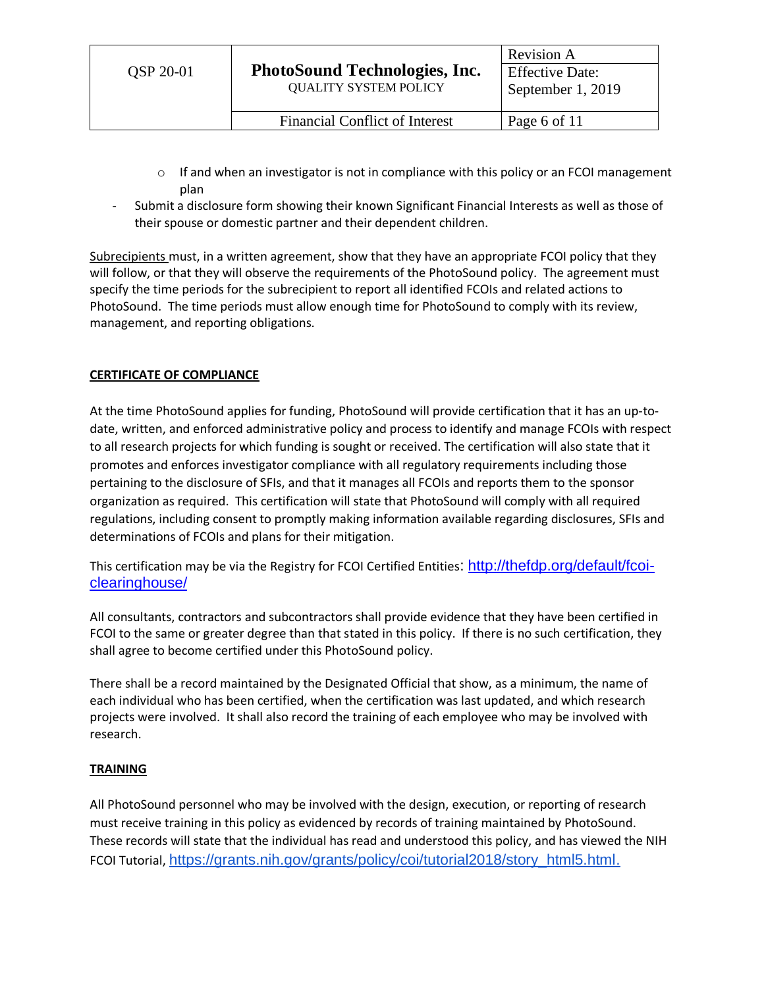- $\circ$  If and when an investigator is not in compliance with this policy or an FCOI management plan
- Submit a disclosure form showing their known Significant Financial Interests as well as those of their spouse or domestic partner and their dependent children.

Subrecipients must, in a written agreement, show that they have an appropriate FCOI policy that they will follow, or that they will observe the requirements of the PhotoSound policy. The agreement must specify the time periods for the subrecipient to report all identified FCOIs and related actions to PhotoSound. The time periods must allow enough time for PhotoSound to comply with its review, management, and reporting obligations.

# **CERTIFICATE OF COMPLIANCE**

At the time PhotoSound applies for funding, PhotoSound will provide certification that it has an up-todate, written, and enforced administrative policy and process to identify and manage FCOIs with respect to all research projects for which funding is sought or received. The certification will also state that it promotes and enforces investigator compliance with all regulatory requirements including those pertaining to the disclosure of SFIs, and that it manages all FCOIs and reports them to the sponsor organization as required. This certification will state that PhotoSound will comply with all required regulations, including consent to promptly making information available regarding disclosures, SFIs and determinations of FCOIs and plans for their mitigation.

This certification may be via the Registry for FCOI Certified Entities: [http://thefdp.org/default/fcoi](http://thefdp.org/default/fcoi-clearinghouse/)[clearinghouse/](http://thefdp.org/default/fcoi-clearinghouse/)

All consultants, contractors and subcontractors shall provide evidence that they have been certified in FCOI to the same or greater degree than that stated in this policy. If there is no such certification, they shall agree to become certified under this PhotoSound policy.

There shall be a record maintained by the Designated Official that show, as a minimum, the name of each individual who has been certified, when the certification was last updated, and which research projects were involved. It shall also record the training of each employee who may be involved with research.

# **TRAINING**

All PhotoSound personnel who may be involved with the design, execution, or reporting of research must receive training in this policy as evidenced by records of training maintained by PhotoSound. These records will state that the individual has read and understood this policy, and has viewed the NIH FCOI Tutorial, [https://grants.nih.gov/grants/policy/coi/tutorial2018/story\\_html5.html.](https://grants.nih.gov/grants/policy/coi/tutorial2018/story_html5.html)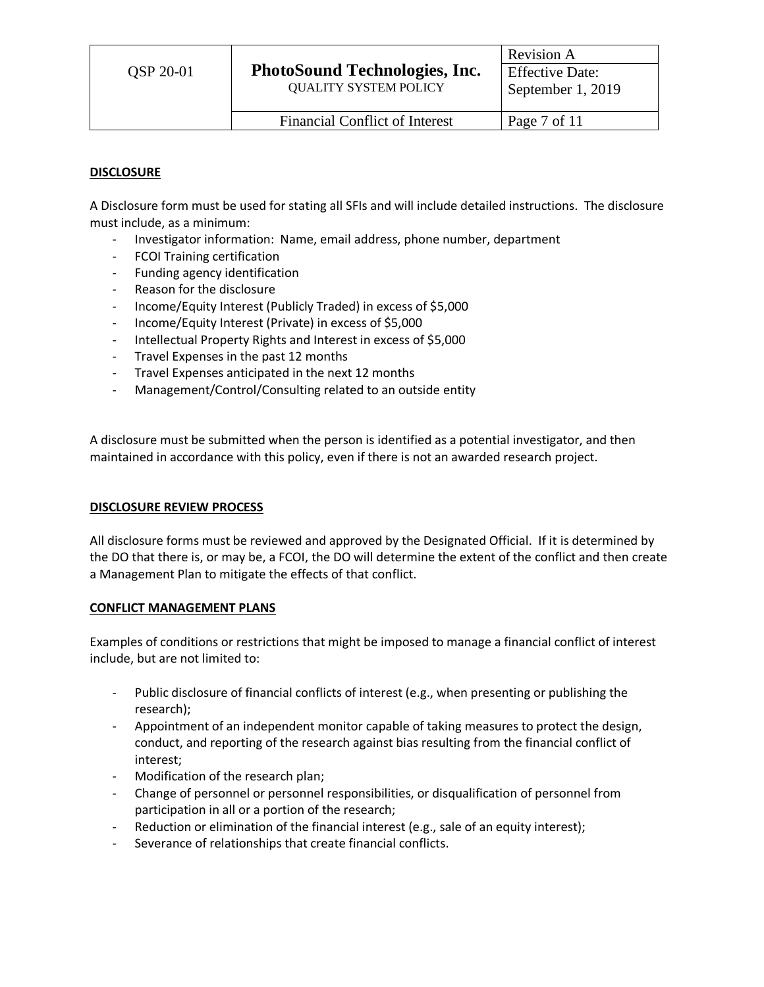#### **DISCLOSURE**

A Disclosure form must be used for stating all SFIs and will include detailed instructions. The disclosure must include, as a minimum:

- Investigator information: Name, email address, phone number, department
- FCOI Training certification
- Funding agency identification
- Reason for the disclosure
- Income/Equity Interest (Publicly Traded) in excess of \$5,000
- Income/Equity Interest (Private) in excess of \$5,000
- Intellectual Property Rights and Interest in excess of \$5,000
- Travel Expenses in the past 12 months
- Travel Expenses anticipated in the next 12 months
- Management/Control/Consulting related to an outside entity

A disclosure must be submitted when the person is identified as a potential investigator, and then maintained in accordance with this policy, even if there is not an awarded research project.

#### **DISCLOSURE REVIEW PROCESS**

All disclosure forms must be reviewed and approved by the Designated Official. If it is determined by the DO that there is, or may be, a FCOI, the DO will determine the extent of the conflict and then create a Management Plan to mitigate the effects of that conflict.

#### **CONFLICT MANAGEMENT PLANS**

Examples of conditions or restrictions that might be imposed to manage a financial conflict of interest include, but are not limited to:

- Public disclosure of financial conflicts of interest (e.g., when presenting or publishing the research);
- Appointment of an independent monitor capable of taking measures to protect the design, conduct, and reporting of the research against bias resulting from the financial conflict of interest;
- Modification of the research plan;
- Change of personnel or personnel responsibilities, or disqualification of personnel from participation in all or a portion of the research;
- Reduction or elimination of the financial interest (e.g., sale of an equity interest);
- Severance of relationships that create financial conflicts.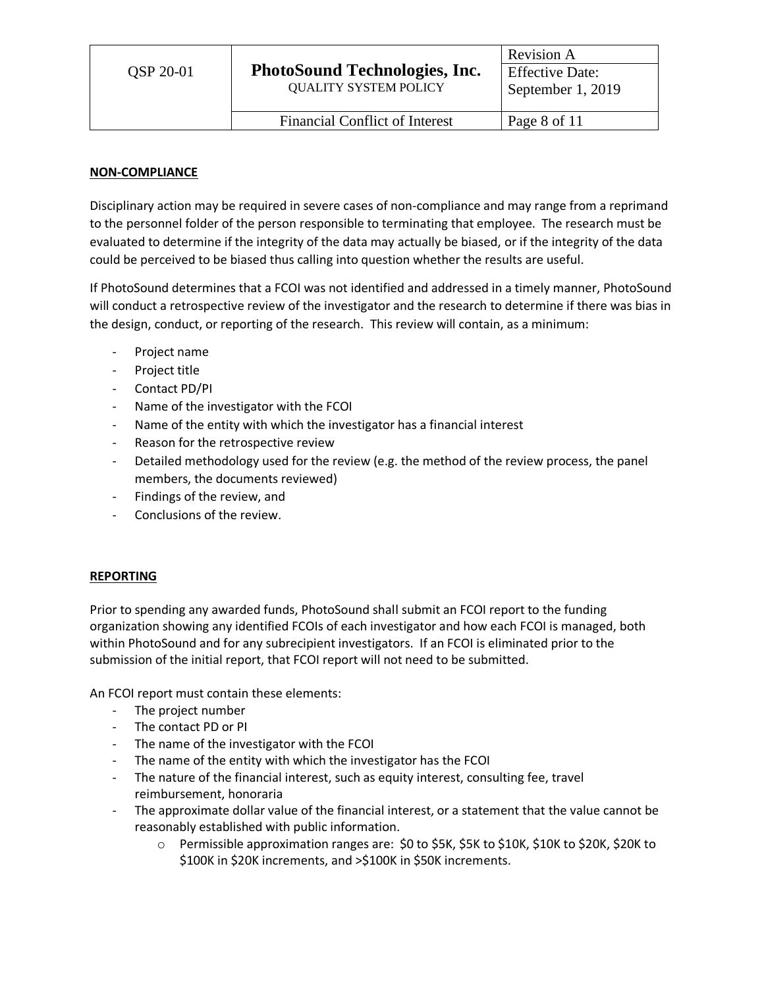# **NON-COMPLIANCE**

Disciplinary action may be required in severe cases of non-compliance and may range from a reprimand to the personnel folder of the person responsible to terminating that employee. The research must be evaluated to determine if the integrity of the data may actually be biased, or if the integrity of the data could be perceived to be biased thus calling into question whether the results are useful.

If PhotoSound determines that a FCOI was not identified and addressed in a timely manner, PhotoSound will conduct a retrospective review of the investigator and the research to determine if there was bias in the design, conduct, or reporting of the research. This review will contain, as a minimum:

- Project name
- Project title
- Contact PD/PI
- Name of the investigator with the FCOI
- Name of the entity with which the investigator has a financial interest
- Reason for the retrospective review
- Detailed methodology used for the review (e.g. the method of the review process, the panel members, the documents reviewed)
- Findings of the review, and
- Conclusions of the review.

# **REPORTING**

Prior to spending any awarded funds, PhotoSound shall submit an FCOI report to the funding organization showing any identified FCOIs of each investigator and how each FCOI is managed, both within PhotoSound and for any subrecipient investigators. If an FCOI is eliminated prior to the submission of the initial report, that FCOI report will not need to be submitted.

An FCOI report must contain these elements:

- The project number
- The contact PD or PI
- The name of the investigator with the FCOI
- The name of the entity with which the investigator has the FCOI
- The nature of the financial interest, such as equity interest, consulting fee, travel reimbursement, honoraria
- The approximate dollar value of the financial interest, or a statement that the value cannot be reasonably established with public information.
	- o Permissible approximation ranges are: \$0 to \$5K, \$5K to \$10K, \$10K to \$20K, \$20K to \$100K in \$20K increments, and >\$100K in \$50K increments.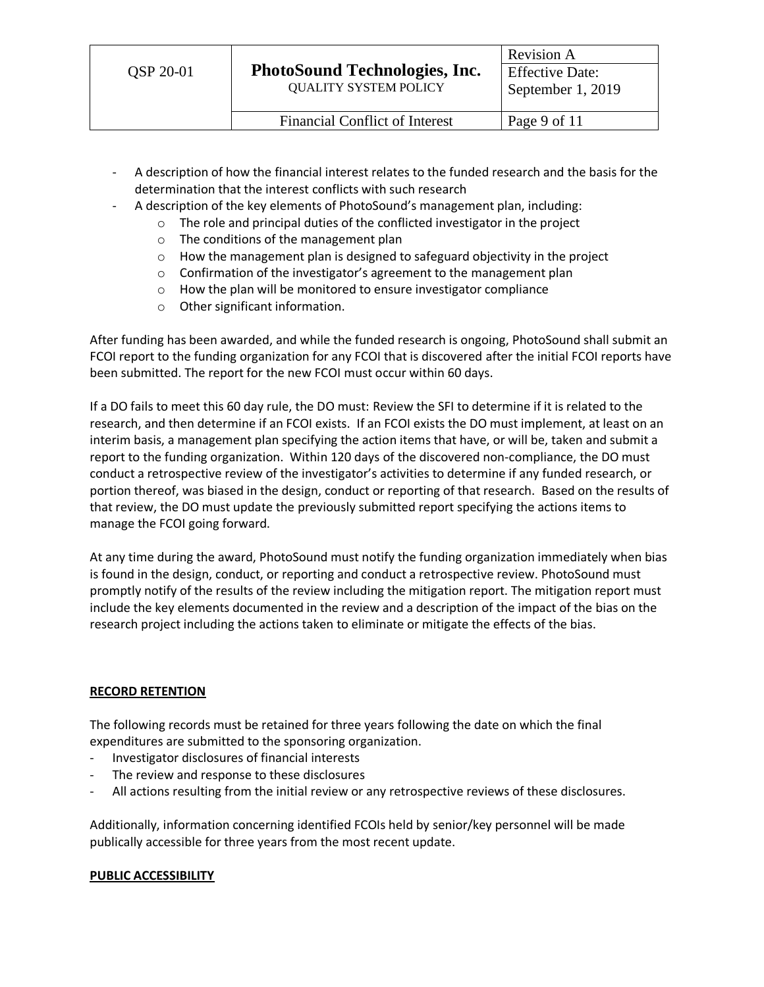- A description of how the financial interest relates to the funded research and the basis for the determination that the interest conflicts with such research
- A description of the key elements of PhotoSound's management plan, including:
	- o The role and principal duties of the conflicted investigator in the project
		- o The conditions of the management plan
		- o How the management plan is designed to safeguard objectivity in the project
		- o Confirmation of the investigator's agreement to the management plan
		- o How the plan will be monitored to ensure investigator compliance
		- o Other significant information.

After funding has been awarded, and while the funded research is ongoing, PhotoSound shall submit an FCOI report to the funding organization for any FCOI that is discovered after the initial FCOI reports have been submitted. The report for the new FCOI must occur within 60 days.

If a DO fails to meet this 60 day rule, the DO must: Review the SFI to determine if it is related to the research, and then determine if an FCOI exists. If an FCOI exists the DO must implement, at least on an interim basis, a management plan specifying the action items that have, or will be, taken and submit a report to the funding organization. Within 120 days of the discovered non-compliance, the DO must conduct a retrospective review of the investigator's activities to determine if any funded research, or portion thereof, was biased in the design, conduct or reporting of that research. Based on the results of that review, the DO must update the previously submitted report specifying the actions items to manage the FCOI going forward.

At any time during the award, PhotoSound must notify the funding organization immediately when bias is found in the design, conduct, or reporting and conduct a retrospective review. PhotoSound must promptly notify of the results of the review including the mitigation report. The mitigation report must include the key elements documented in the review and a description of the impact of the bias on the research project including the actions taken to eliminate or mitigate the effects of the bias.

# **RECORD RETENTION**

The following records must be retained for three years following the date on which the final expenditures are submitted to the sponsoring organization.

- Investigator disclosures of financial interests
- The review and response to these disclosures
- All actions resulting from the initial review or any retrospective reviews of these disclosures.

Additionally, information concerning identified FCOIs held by senior/key personnel will be made publically accessible for three years from the most recent update.

# **PUBLIC ACCESSIBILITY**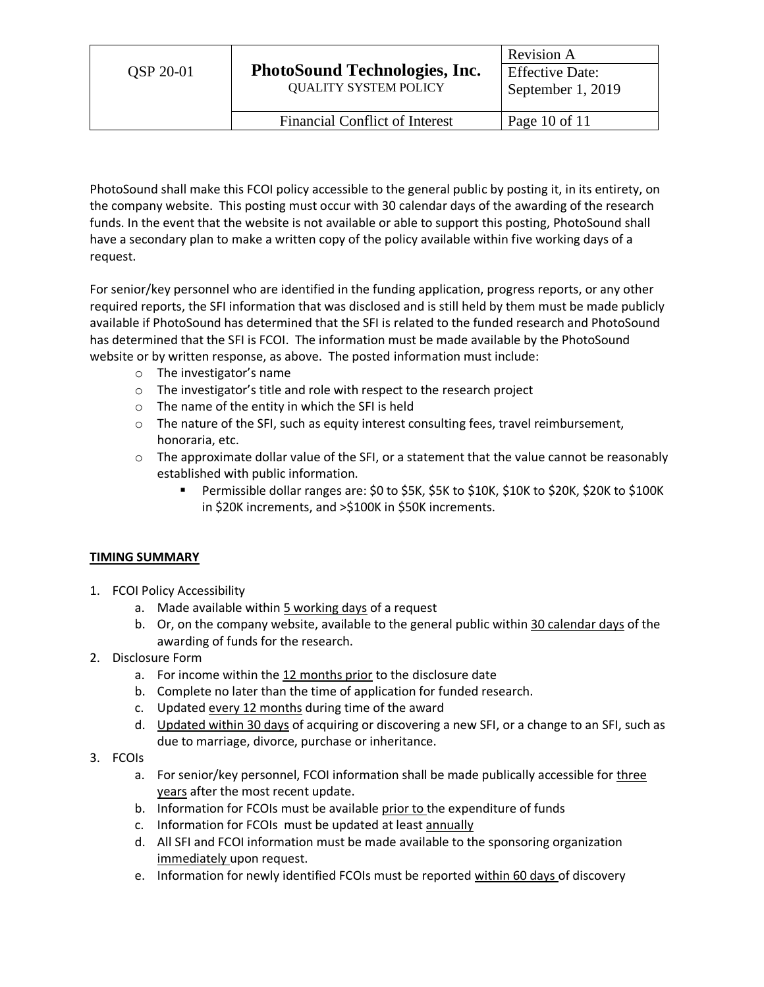| <b>OSP 20-01</b> | <b>PhotoSound Technologies, Inc.</b><br><b>QUALITY SYSTEM POLICY</b> | <b>Revision A</b>      |
|------------------|----------------------------------------------------------------------|------------------------|
|                  |                                                                      | <b>Effective Date:</b> |
|                  |                                                                      | September 1, 2019      |
|                  |                                                                      |                        |
|                  | Financial Conflict of Interest                                       | Page 10 of 11          |

PhotoSound shall make this FCOI policy accessible to the general public by posting it, in its entirety, on the company website. This posting must occur with 30 calendar days of the awarding of the research funds. In the event that the website is not available or able to support this posting, PhotoSound shall have a secondary plan to make a written copy of the policy available within five working days of a request.

For senior/key personnel who are identified in the funding application, progress reports, or any other required reports, the SFI information that was disclosed and is still held by them must be made publicly available if PhotoSound has determined that the SFI is related to the funded research and PhotoSound has determined that the SFI is FCOI. The information must be made available by the PhotoSound website or by written response, as above. The posted information must include:

- o The investigator's name
- o The investigator's title and role with respect to the research project
- o The name of the entity in which the SFI is held
- $\circ$  The nature of the SFI, such as equity interest consulting fees, travel reimbursement, honoraria, etc.
- $\circ$  The approximate dollar value of the SFI, or a statement that the value cannot be reasonably established with public information.
	- Permissible dollar ranges are: \$0 to \$5K, \$5K to \$10K, \$10K to \$20K, \$20K to \$100K in \$20K increments, and >\$100K in \$50K increments.

# **TIMING SUMMARY**

- 1. FCOI Policy Accessibility
	- a. Made available within 5 working days of a request
	- b. Or, on the company website, available to the general public within 30 calendar days of the awarding of funds for the research.
- 2. Disclosure Form
	- a. For income within the 12 months prior to the disclosure date
	- b. Complete no later than the time of application for funded research.
	- c. Updated every 12 months during time of the award
	- d. Updated within 30 days of acquiring or discovering a new SFI, or a change to an SFI, such as due to marriage, divorce, purchase or inheritance.
- 3. FCOIs
	- a. For senior/key personnel, FCOI information shall be made publically accessible for three years after the most recent update.
	- b. Information for FCOIs must be available prior to the expenditure of funds
	- c. Information for FCOIs must be updated at least annually
	- d. All SFI and FCOI information must be made available to the sponsoring organization immediately upon request.
	- e. Information for newly identified FCOIs must be reported within 60 days of discovery